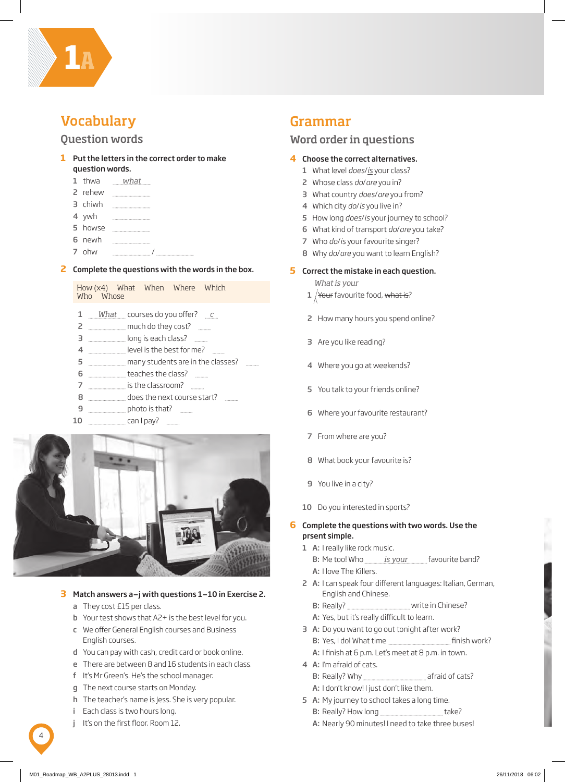

**1A**

# Question words

### **1** Put the letters in the correct order to make question words.

- 1 thwa *what*
- 2 rehew
- 3 chiwh
- 4 ywh
- 5 howse
- 6 newh
- 7 ohw /

#### **2** Complete the questions with the words in the box.

How (x4) What When Where Which Who Whose

- 1 *What* courses do you offer? *c*
- 2 **much do they cost?**
- 3 **Increase of the seach class? In the seach class?**
- 4 **Internal 2018** level is the best for me?
- 5 **many students are in the classes? many students** are in the classes?
- 6 **the class?** teaches the class? **the class**
- 7 **Internal 2018** is the classroom? **Internal 2018**
- 8 **does the next course start? does** the next course start?
- **9 photo is that? photo** is that?
- 10 can I pay?



### **3** Match answers a–j with questions 1–10 in Exercise 2.

- a They cost £15 per class.
- b Your test shows that A2+ is the best level for you.
- c We offer General English courses and Business English courses.
- d You can pay with cash, credit card or book online.
- e There are between 8 and 16 students in each class.
- f It's Mr Green's. He's the school manager.
- g The next course starts on Monday.
- h The teacher's name is Jess. She is very popular.
- i Each class is two hours long.
- j It's on the first floor. Room 12.

# Grammar

## Word order in questions

#### **4** Choose the correct alternatives.

- 1 What level *does*/*is* your class?
- 2 Whose class *do*/*are* you in?
- 3 What country *does*/*are* you from?
- 4 Which city *do*/*is* you live in?
- 5 How long *does*/*is* your journey to school?
- 6 What kind of transport *do*/*are* you take?
- 7 Who *do*/*is* your favourite singer?
- 8 Why *do*/*are* you want to learn English?

#### **5** Correct the mistake in each question.

*What is your*

- $1$   $\sqrt{$  Your favourite food, what is?
- 2 How many hours you spend online?
- 3 Are you like reading?
- 4 Where you go at weekends?
- 5 You talk to your friends online?
- 6 Where your favourite restaurant?
- 7 From where are you?
- 8 What book your favourite is?
- 9 You live in a city?
- 10 Do you interested in sports?

### **6** Complete the questions with two words. Use the prsent simple.

- 1 A: I really like rock music.
	- B: Me too! Who *is your* favourite band?
- A: I love The Killers. 2 A: I can speak four different languages: Italian, German, English and Chinese.
	- B: Really? **wite in Chinese?**
	- A: Yes, but it's really difficult to learn.
- 3 A: Do you want to go out tonight after work?
	- B: Yes, I do! What time **Finish work?**
	- A: I finish at 6 p.m. Let's meet at 8 p.m. in town.
- 4 A: I'm afraid of cats.
	- B: Really? Why afraid of cats?
	- A: I don't know! I just don't like them.
- 5 A: My journey to school takes a long time. B: Really? How long take?
	- A: Nearly 90 minutes! I need to take three buses!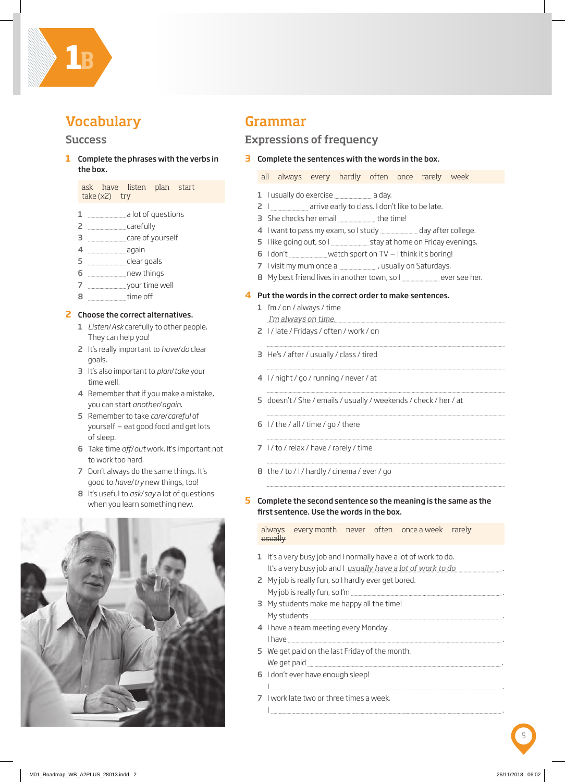

# **Vocabulary**

## Success

**1** Complete the phrases with the verbs in the box.

ask have listen plan start take (x2) try

- 1 **1 a** lot of questions
- 2 carefully
- 3 care of yourself
- 4 **and 1** again
- 5 clear goals
- 6 manuscriptum new things
- 7 your time well
- 8 time off

### **2** Choose the correct alternatives.

- 1 *Listen*/*Ask* carefully to other people. They can help you!
- 2 It's really important to *have*/*do* clear goals.
- 3 It's also important to *plan*/*take* your time well.
- 4 Remember that if you make a mistake, you can start *another*/*again*.
- 5 Remember to take *care*/*careful* of yourself – eat good food and get lots of sleep.
- 6 Take time *off*/*out* work. It's important not to work too hard.
- 7 Don't always do the same things. It's good to *have*/*try* new things, too!
- 8 It's useful to *ask*/*say* a lot of questions when you learn something new.



# Grammar

# Expressions of frequency

**3** Complete the sentences with the words in the box.

all always every hardly often once rarely week

- 1 I usually do exercise **component and day**.
- 2 | \_\_\_\_\_\_\_\_\_\_\_\_\_\_\_\_ arrive early to class. I don't like to be late.
- 3 She checks her email **...........................** the time!
- 4 I want to pass my exam, so I study will allow day after college.
- 5 I like going out, so I stay at home on Friday evenings.
- 6  $1$  don't  $\frac{1}{2}$  watch sport on TV I think it's boring!
- 7 I visit my mum once a , usually on Saturdays.
- 8 My best friend lives in another town, so I ever see her.

#### **4** Put the words in the correct order to make sentences.

- 1 I'm / on / always / time *I'm always on time.*
- 2 I / late / Fridays / often / work / on
- 3 He's / after / usually / class / tired
- 4 I / night / go / running / never / at
- 5 doesn't / She / emails / usually / weekends / check / her / at
- 6  $1/$  the  $/$  all  $/$  time  $/$  go  $/$  there
- 7 I / to / relax / have / rarely / time
- 8 the / to / I / hardly / cinema / ever / go

#### **5** Complete the second sentence so the meaning is the same as the first sentence. Use the words in the box.

always every month never often once a week rarely usually

- 1 It's a very busy job and I normally have a lot of work to do. It's a very busy job and I <u>usually have a lot of work to do ward and the sum</u>e.
- 2 My job is really fun, so I hardly ever get bored. My job is really fun, so I'm .
- 3 My students make me happy all the time! My students **Music and Students** ...
- 4 I have a team meeting every Monday. I have .
- 5 We get paid on the last Friday of the month. We get paid .
- 6 I don't ever have enough sleep!
- I .
- 7 I work late two or three times a week. I am a contract the contract of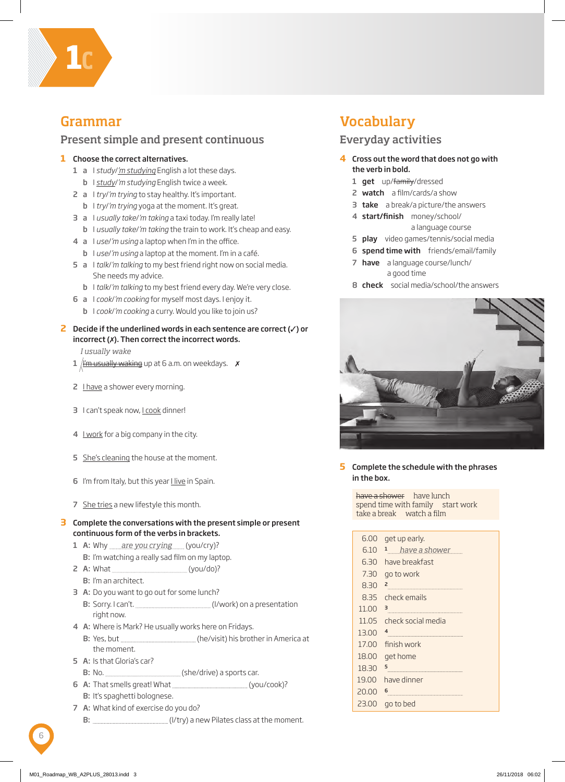

# Grammar

# Present simple and present continuous

## **1** Choose the correct alternatives.

- 1 a I *study*/*'m studying* English a lot these days.
- b I *study*/*'m studying* English twice a week.
- 2 a I *try*/*'m trying* to stay healthy. It's important.
	- b I *try*/*'m trying* yoga at the moment. It's great.
- 3 a I *usually take*/*'m taking* a taxi today. I'm really late! b I *usually take*/*'m taking* the train to work. It's cheap and easy.
- 4 a I *use*/*'m using* a laptop when I'm in the office. b I *use*/*'m using* a laptop at the moment. I'm in a café.
- 5 a I *talk*/*'m talking* to my best friend right now on social media. She needs my advice.
	- b I *talk*/*'m talking* to my best friend every day. We're very close.
- 6 a I *cook*/*'m cooking* for myself most days. I enjoy it. b I *cook*/*'m cooking* a curry. Would you like to join us?
- **2** Decide if the underlined words in each sentence are correct (✓) or incorrect (✗). Then correct the incorrect words.

*I usually wake*

- 1  $\frac{1}{1}$   $\frac{1}{1}$   $\frac{1}{1}$   $\frac{1}{1}$   $\frac{1}{1}$   $\frac{1}{1}$   $\frac{1}{1}$   $\frac{1}{1}$   $\frac{1}{1}$   $\frac{1}{1}$   $\frac{1}{1}$   $\frac{1}{1}$   $\frac{1}{1}$   $\frac{1}{1}$   $\frac{1}{1}$   $\frac{1}{1}$   $\frac{1}{1}$   $\frac{1}{1}$   $\frac{1}{1}$   $\frac{1}{1}$   $\frac{1}{1}$   $\frac{1}{1}$
- 2 I have a shower every morning.
- 3 I can't speak now, I cook dinner!
- 4 I work for a big company in the city.
- 5 She's cleaning the house at the moment.
- 6 I'm from Italy, but this year I live in Spain.
- 7 She tries a new lifestyle this month.
- **3** Complete the conversations with the present simple or present continuous form of the verbs in brackets.
	- 1 A: Why are you crying (you/cry)? B: I'm watching a really sad film on my laptop.
	- 2 A: What (you/do)?
		- B: I'm an architect.
	- 3 A: Do you want to go out for some lunch? B: Sorry. I can't. (I/work) on a presentation right now.
	- 4 A: Where is Mark? He usually works here on Fridays.
		- B: Yes, but \_\_\_\_\_\_\_\_\_\_\_\_\_\_\_\_\_\_\_\_\_\_\_\_\_(he/visit) his brother in America at the moment.
	- 5 A: Is that Gloria's car?
		- B: No. (she/drive) a sports car.
	- 6 A: That smells great! What (you/cook)? B: It's spaghetti bolognese.
	- 7 A: What kind of exercise do you do? B: \_\_\_\_\_\_\_\_\_\_\_\_\_\_\_\_\_\_\_\_\_\_\_\_\_\_\_\_\_\_\_\_(I/try) a new Pilates class at the moment.

# Vocabulary

# Everyday activities

- **4** Cross out the word that does not go with the verb in bold.
	- 1 **get** up/<del>family</del>/dressed
	- 2 watch a film/cards/a show
	- **3 take** a break/a picture/the answers
	- 4 start/finish money/school/ a language course
	- 5 play video games/tennis/social media
	- 6 spend time with friends/email/family
	- 7 have a language course/lunch/ a good time
	- 8 **check** social media/school/the answers



#### **5** Complete the schedule with the phrases in the box.

have a shower have lunch spend time with family start work take a break watch a film

| 6.00  | get up early.      |
|-------|--------------------|
| 6.10  | have a shower      |
| 6,30  | have breakfast     |
| 7.30  | go to work         |
| 8.30  | 2                  |
| 8.35  | check emails       |
| 11.00 | 3                  |
| 11.05 | check social media |
| 13.00 | 4                  |
| 17.00 | finish work        |
| 18.00 | get home           |
| 18.30 | 5                  |
| 19.00 | have dinner        |
| 20.00 | 6                  |
| 23.00 | go to bed          |
|       |                    |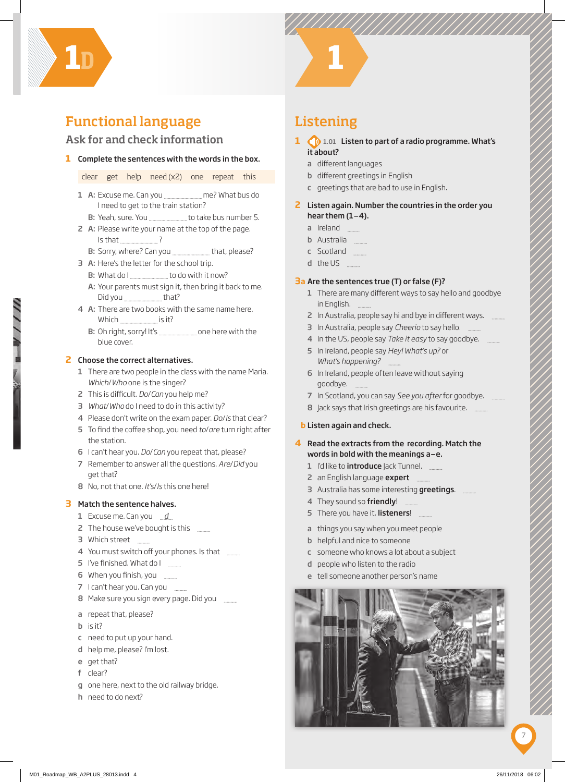

# Functional language

# Ask for and check information

### **1** Complete the sentences with the words in the box.

clear get help need (x2) one repeat this

- 1 A: Excuse me. Can you ment me? What bus do I need to get to the train station?
	- B: Yeah, sure. You **manually matter bus number 5.**
- 2 A: Please write your name at the top of the page. Is that ?

B: Sorry, where? Can you that, please?

- 3 A: Here's the letter for the school trip.
	- B: What do I to do with it now?
	- A: Your parents must sign it, then bring it back to me. Did you \_\_\_\_\_\_\_\_\_\_\_\_\_\_\_\_that?
- 4 A: There are two books with the same name here. Which **in the internal is it?** 
	- B: Oh right, sorry! It's one here with the blue cover.

#### **2** Choose the correct alternatives.

- 1 There are two people in the class with the name Maria. *Which*/*Who* one is the singer?
- 2 This is difficult. *Do/Can* you help me?
- 3 *What*/*Who* do I need to do in this activity?
- 4 Please don't write on the exam paper. *Do*/*Is* that clear?
- 5 To find the coffee shop, you need *to/are* turn right after the station.
- 6 I can't hear you. *Do*/*Can* you repeat that, please?
- 7 Remember to answer all the questions. *Are*/*Did* you get that?
- 8 No, not that one. *It's*/*Is* this one here!

#### **3** Match the sentence halves.

- 1 Excuse me. Can you *d*
- 2 The house we've bought is this **Fig.**
- 3 Which street **Fig.**
- 4 You must switch off your phones. Is that
- 5 I've finished. What do I
- 6 When you finish, you
- 7 I can't hear you. Can you
- 8 Make sure you sign every page. Did you
- a repeat that, please?
- b is it?
- c need to put up your hand.
- d help me, please? I'm lost.
- e get that?
- f clear?
- g one here, next to the old railway bridge.
- h need to do next?

# Listening

- **1 1.01 Listen to part of a radio programme. What's** it about?
	- a different languages
	- **b** different greetings in English
	- c greetings that are bad to use in English.
- **2** Listen again. Number the countries in the order you hear them  $(1-4)$ .
	- a Ireland
	- **b** Australia
	- c Scotland
	- d the US

#### **3 a** Are the sentences true (T) or false (F)?

- 1 There are many different ways to say hello and goodbye in English.
- 2 In Australia, people say hi and bye in different ways.
- 3 In Australia, people say *Cheerio* to say hello.
- 4 In the US, people say *Take it easy* to say goodbye.
- 5 In Ireland, people say *Hey! What's up?* or *What's happening?*
- 6 In Ireland, people often leave without saying goodbye.
- 7 In Scotland, you can say *See you after* for goodbye.
- 8 Jack says that Irish greetings are his favourite. \_\_\_\_\_\_
- **b** Listen again and check.

## **4** Read the extracts from the recording. Match the words in bold with the meanings a–e.

- 1 I'd like to **introduce** Jack Tunnel.
- 2 an English language expert **Election**
- 3 Australia has some interesting greetings.
- 4 They sound so friendly!
- 5 There you have it, listeners!
- a things you say when you meet people
- b helpful and nice to someone
- c someone who knows a lot about a subject
- d people who listen to the radio
- e tell someone another person's name

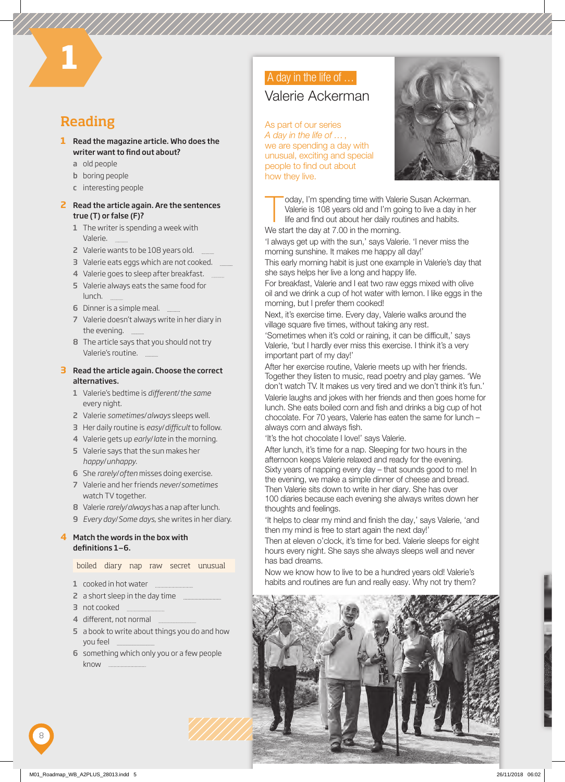# Reading

**3 1**

- **1** Read the magazine article. Who does the writer want to find out about?
	- a old people
	- **b** boring people
	- c interesting people

#### **2** Read the article again. Are the sentences true (T) or false (F)?

- 1 The writer is spending a week with Valerie.
- 2 Valerie wants to be 108 years old.
- 3 Valerie eats eggs which are not cooked.
- 4 Valerie goes to sleep after breakfast.
- 5 Valerie always eats the same food for lunch.
- 6 Dinner is a simple meal.
- 7 Valerie doesn't always write in her diary in the evening.
- 8 The article says that you should not try Valerie's routine.

### **3** Read the article again. Choose the correct alternatives.

- 1 Valerie's bedtime is *diff erent*/*the same* every night.
- 2 Valerie *sometimes*/*always* sleeps well.
- 3 Her daily routine is easy/difficult to follow.
- 4 Valerie gets up *early*/*late* in the morning.
- 5 Valerie says that the sun makes her *happy*/*unhappy*.
- 6 She *rarely*/*often* misses doing exercise.
- 7 Valerie and her friends *never*/*sometimes* watch TV together.
- 8 Valerie *rarely*/*always* has a nap after lunch.
- 9 *Every day*/*Some days*, she writes in her diary.

## **4** Match the words in the box with definitions 1-6.

boiled diary nap raw secret unusual

- 1 cooked in hot water . . . . . . . . . . . . . .
- 2 a short sleep in the day time
- 3 not cooked
- 4 different, not normal
- 5 a book to write about things you do and how you feel
- 6 something which only you or a few people know

# A day in the life of ...

# Valerie Ackerman

As part of our series *A day in the life of …* , we are spending a day with unusual, exciting and special people to find out about how they live.



oday, I'm spending time with Valerie Susan Ackerman.<br>Valerie is 108 years old and I'm going to live a day in he<br>life and find out about her daily routines and habits. Valerie is 108 years old and I'm going to live a day in her life and find out about her daily routines and habits.

We start the day at 7.00 in the morning.

'I always get up with the sun,' says Valerie. 'I never miss the morning sunshine. It makes me happy all day!'

This early morning habit is just one example in Valerie's day that she says helps her live a long and happy life.

For breakfast, Valerie and I eat two raw eggs mixed with olive oil and we drink a cup of hot water with lemon. I like eggs in the morning, but I prefer them cooked!

Next, it's exercise time. Every day, Valerie walks around the village square five times, without taking any rest.

'Sometimes when it's cold or raining, it can be difficult,' says Valerie, 'but I hardly ever miss this exercise. I think it's a very important part of my day!'

After her exercise routine, Valerie meets up with her friends. Together they listen to music, read poetry and play games. 'We don't watch TV. It makes us very tired and we don't think it's fun.' Valerie laughs and jokes with her friends and then goes home for lunch. She eats boiled corn and fish and drinks a big cup of hot chocolate. For 70 years, Valerie has eaten the same for lunch – always corn and always fish.

'It's the hot chocolate I love!' says Valerie.

After lunch, it's time for a nap. Sleeping for two hours in the afternoon keeps Valerie relaxed and ready for the evening. Sixty years of napping every day – that sounds good to me! In the evening, we make a simple dinner of cheese and bread. Then Valerie sits down to write in her diary. She has over 100 diaries because each evening she always writes down her thoughts and feelings.

'It helps to clear my mind and finish the day,' says Valerie, 'and then my mind is free to start again the next day!'

Then at eleven o'clock, it's time for bed. Valerie sleeps for eight hours every night. She says she always sleeps well and never has bad dreams.

Now we know how to live to be a hundred years old! Valerie's habits and routines are fun and really easy. Why not try them?